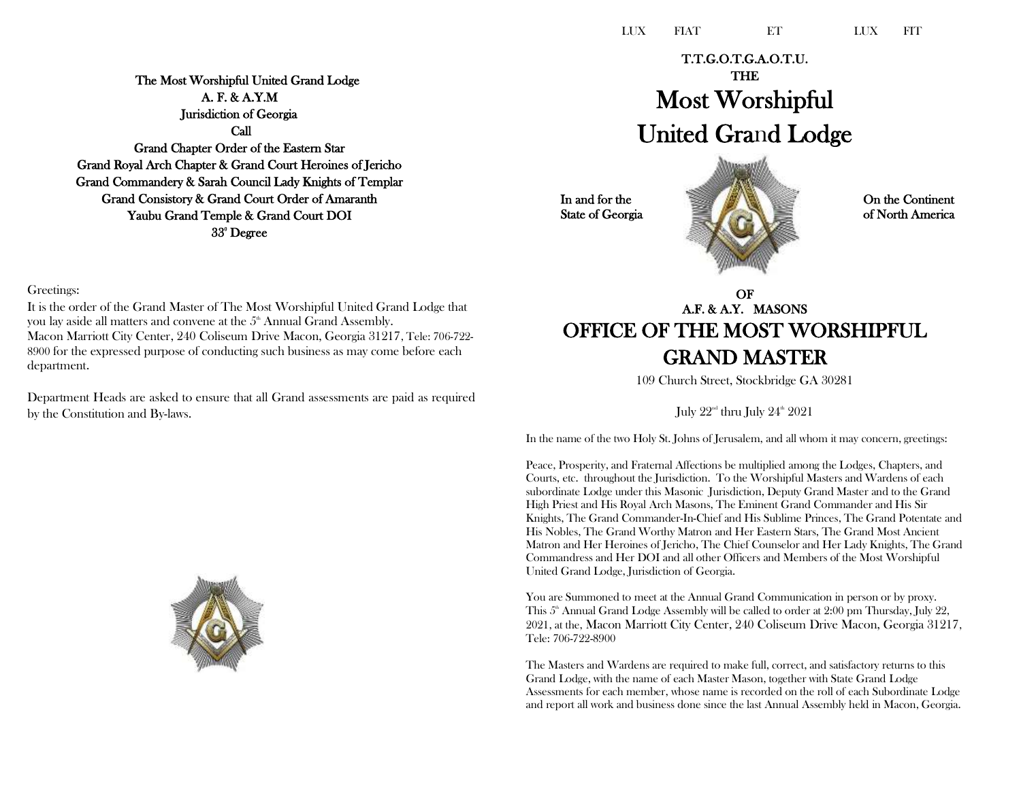The Most Worshipful United Grand Lodge A. F. & A.Y.M Jurisdiction of Georgia Call Grand Chapter Order of the Eastern Star Grand Royal Arch Chapter & Grand Court Heroines of Jericho Grand Commandery & Sarah Council Lady Knights of Templar Grand Consistory & Grand Court Order of Amaranth Yaubu Grand Temple & Grand Court DOI 33° Degree

T.T.G.O.T.G.A.O.T.U. THE Most Worshipful United Grand Lodge

In and for the State of Georgia On the Continent of North America

# OF A.F. & A.Y. MASONS OFFICE OF THE MOST WORSHIPFUL GRAND MASTER

109 Church Street, Stockbridge GA 30281

July  $22^{\text{\tiny nd}}$  thru July  $24^{\text{\tiny th}}$   $2021$ 

In the name of the two Holy St. Johns of Jerusalem, and all whom it may concern, greetings:

Peace, Prosperity, and Fraternal Affections be multiplied among the Lodges, Chapters, and Courts, etc. throughout the Jurisdiction. To the Worshipful Masters and Wardens of each subordinate Lodge under this Masonic Jurisdiction, Deputy Grand Master and to the Grand High Priest and His Royal Arch Masons, The Eminent Grand Commander and His Sir Knights, The Grand Commander-In-Chief and His Sublime Princes, The Grand Potentate and His Nobles, The Grand Worthy Matron and Her Eastern Stars, The Grand Most Ancient Matron and Her Heroines of Jericho, The Chief Counselor and Her Lady Knights, The Grand Commandress and Her DOI and all other Officers and Members of the Most Worshipful United Grand Lodge, Jurisdiction of Georgia.

You are Summoned to meet at the Annual Grand Communication in person or by proxy. This  $5<sup>th</sup>$  Annual Grand Lodge Assembly will be called to order at 2:00 pm Thursday, July 22, 2021, at the, Macon Marriott City Center, 240 Coliseum Drive Macon, Georgia 31217, Tele: 706-722-8900

The Masters and Wardens are required to make full, correct, and satisfactory returns to this Grand Lodge, with the name of each Master Mason, together with State Grand Lodge Assessments for each member, whose name is recorded on the roll of each Subordinate Lodge and report all work and business done since the last Annual Assembly held in Macon, Georgia.

## Greetings:

It is the order of the Grand Master of The Most Worshipful United Grand Lodge that you lay aside all matters and convene at the  $5<sup>th</sup>$  Annual Grand Assembly. Macon Marriott City Center, 240 Coliseum Drive Macon, Georgia 31217, Tele: 706-722- 8900 for the expressed purpose of conducting such business as may come before each department.

Department Heads are asked to ensure that all Grand assessments are paid as required by the Constitution and By-laws.